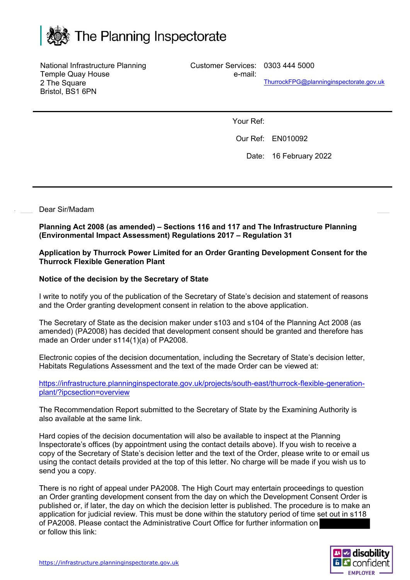

National Infrastructure Planning Temple Quay House 2 The Square Bristol, BS1 6PN

Customer Services: 0303 444 5000

e-mail: ThurrockFPG@planninginspectorate.gov.uk

Your Ref:

Our Ref: EN010092

Date: 16 February 2022

Dear Sir/Madam

**Planning Act 2008 (as amended) – Sections 116 and 117 and The Infrastructure Planning (Environmental Impact Assessment) Regulations 2017 – Regulation 31**

**Application by Thurrock Power Limited for an Order Granting Development Consent for the Thurrock Flexible Generation Plant** 

## **Notice of the decision by the Secretary of State**

I write to notify you of the publication of the Secretary of State's decision and statement of reasons and the Order granting development consent in relation to the above application.

The Secretary of State as the decision maker under s103 and s104 of the Planning Act 2008 (as amended) (PA2008) has decided that development consent should be granted and therefore has made an Order under s114(1)(a) of PA2008.

Electronic copies of the decision documentation, including the Secretary of State's decision letter, Habitats Regulations Assessment and the text of the made Order can be viewed at:

https://infrastructure.planninginspectorate.gov.uk/projects/south-east/thurrock-flexible-generationplant/?ipcsection=overview

The Recommendation Report submitted to the Secretary of State by the Examining Authority is also available at the same link.

Hard copies of the decision documentation will also be available to inspect at the Planning Inspectorate's offices (by appointment using the contact details above). If you wish to receive a copy of the Secretary of State's decision letter and the text of the Order, please write to or email us using the contact details provided at the top of this letter. No charge will be made if you wish us to send you a copy.

There is no right of appeal under PA2008. The High Court may entertain proceedings to question an Order granting development consent from the day on which the Development Consent Order is published or, if later, the day on which the decision letter is published. The procedure is to make an application for judicial review. This must be done within the statutory period of time set out in s118 of PA2008. Please contact the Administrative Court Office for further information on or follow this link: